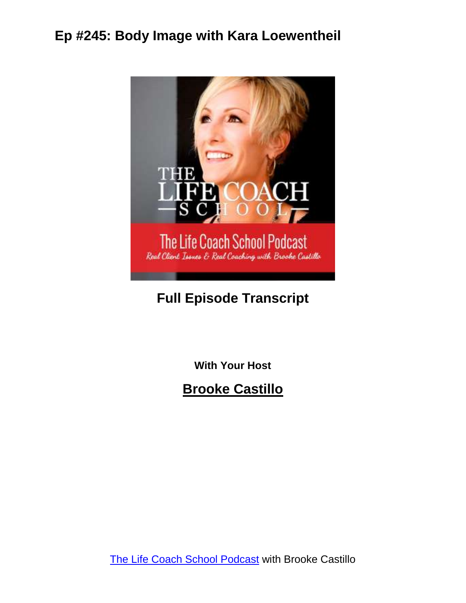

#### **Full Episode Transcript**

**With Your Host**

**Brooke Castillo**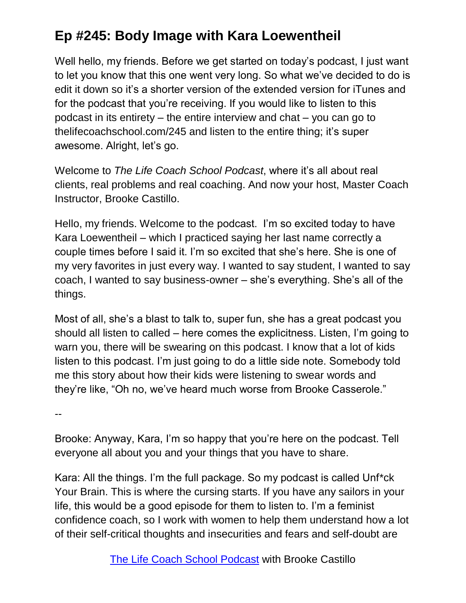Well hello, my friends. Before we get started on today's podcast, I just want to let you know that this one went very long. So what we've decided to do is edit it down so it's a shorter version of the extended version for iTunes and for the podcast that you're receiving. If you would like to listen to this podcast in its entirety – the entire interview and chat – you can go to thelifecoachschool.com/245 and listen to the entire thing; it's super awesome. Alright, let's go.

Welcome to *The Life Coach School Podcast*, where it's all about real clients, real problems and real coaching. And now your host, Master Coach Instructor, Brooke Castillo.

Hello, my friends. Welcome to the podcast. I'm so excited today to have Kara Loewentheil – which I practiced saying her last name correctly a couple times before I said it. I'm so excited that she's here. She is one of my very favorites in just every way. I wanted to say student, I wanted to say coach, I wanted to say business-owner – she's everything. She's all of the things.

Most of all, she's a blast to talk to, super fun, she has a great podcast you should all listen to called – here comes the explicitness. Listen, I'm going to warn you, there will be swearing on this podcast. I know that a lot of kids listen to this podcast. I'm just going to do a little side note. Somebody told me this story about how their kids were listening to swear words and they're like, "Oh no, we've heard much worse from Brooke Casserole."

--

Brooke: Anyway, Kara, I'm so happy that you're here on the podcast. Tell everyone all about you and your things that you have to share.

Kara: All the things. I'm the full package. So my podcast is called Unf\*ck Your Brain. This is where the cursing starts. If you have any sailors in your life, this would be a good episode for them to listen to. I'm a feminist confidence coach, so I work with women to help them understand how a lot of their self-critical thoughts and insecurities and fears and self-doubt are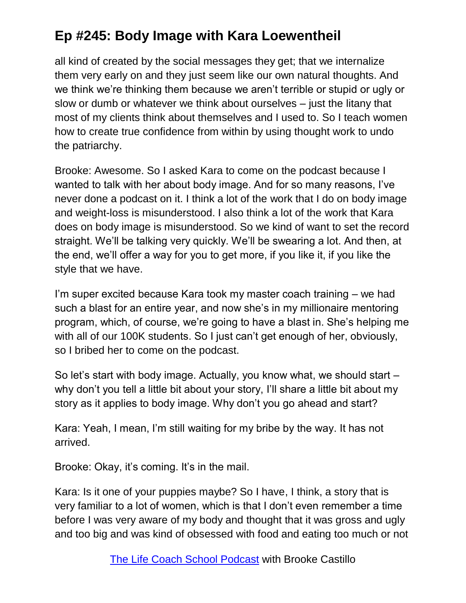all kind of created by the social messages they get; that we internalize them very early on and they just seem like our own natural thoughts. And we think we're thinking them because we aren't terrible or stupid or ugly or slow or dumb or whatever we think about ourselves – just the litany that most of my clients think about themselves and I used to. So I teach women how to create true confidence from within by using thought work to undo the patriarchy.

Brooke: Awesome. So I asked Kara to come on the podcast because I wanted to talk with her about body image. And for so many reasons, I've never done a podcast on it. I think a lot of the work that I do on body image and weight-loss is misunderstood. I also think a lot of the work that Kara does on body image is misunderstood. So we kind of want to set the record straight. We'll be talking very quickly. We'll be swearing a lot. And then, at the end, we'll offer a way for you to get more, if you like it, if you like the style that we have.

I'm super excited because Kara took my master coach training – we had such a blast for an entire year, and now she's in my millionaire mentoring program, which, of course, we're going to have a blast in. She's helping me with all of our 100K students. So I just can't get enough of her, obviously, so I bribed her to come on the podcast.

So let's start with body image. Actually, you know what, we should start – why don't you tell a little bit about your story, I'll share a little bit about my story as it applies to body image. Why don't you go ahead and start?

Kara: Yeah, I mean, I'm still waiting for my bribe by the way. It has not arrived.

Brooke: Okay, it's coming. It's in the mail.

Kara: Is it one of your puppies maybe? So I have, I think, a story that is very familiar to a lot of women, which is that I don't even remember a time before I was very aware of my body and thought that it was gross and ugly and too big and was kind of obsessed with food and eating too much or not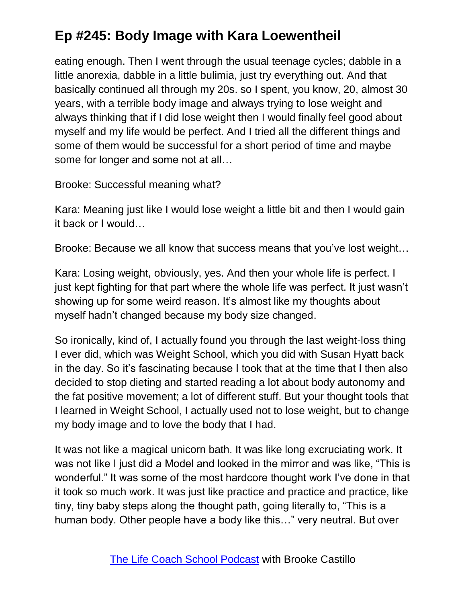eating enough. Then I went through the usual teenage cycles; dabble in a little anorexia, dabble in a little bulimia, just try everything out. And that basically continued all through my 20s. so I spent, you know, 20, almost 30 years, with a terrible body image and always trying to lose weight and always thinking that if I did lose weight then I would finally feel good about myself and my life would be perfect. And I tried all the different things and some of them would be successful for a short period of time and maybe some for longer and some not at all…

Brooke: Successful meaning what?

Kara: Meaning just like I would lose weight a little bit and then I would gain it back or I would…

Brooke: Because we all know that success means that you've lost weight…

Kara: Losing weight, obviously, yes. And then your whole life is perfect. I just kept fighting for that part where the whole life was perfect. It just wasn't showing up for some weird reason. It's almost like my thoughts about myself hadn't changed because my body size changed.

So ironically, kind of, I actually found you through the last weight-loss thing I ever did, which was Weight School, which you did with Susan Hyatt back in the day. So it's fascinating because I took that at the time that I then also decided to stop dieting and started reading a lot about body autonomy and the fat positive movement; a lot of different stuff. But your thought tools that I learned in Weight School, I actually used not to lose weight, but to change my body image and to love the body that I had.

It was not like a magical unicorn bath. It was like long excruciating work. It was not like I just did a Model and looked in the mirror and was like, "This is wonderful." It was some of the most hardcore thought work I've done in that it took so much work. It was just like practice and practice and practice, like tiny, tiny baby steps along the thought path, going literally to, "This is a human body. Other people have a body like this…" very neutral. But over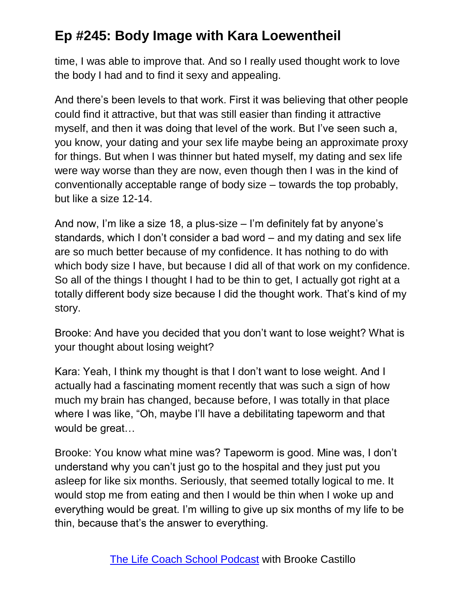time, I was able to improve that. And so I really used thought work to love the body I had and to find it sexy and appealing.

And there's been levels to that work. First it was believing that other people could find it attractive, but that was still easier than finding it attractive myself, and then it was doing that level of the work. But I've seen such a, you know, your dating and your sex life maybe being an approximate proxy for things. But when I was thinner but hated myself, my dating and sex life were way worse than they are now, even though then I was in the kind of conventionally acceptable range of body size – towards the top probably, but like a size 12-14.

And now, I'm like a size 18, a plus-size – I'm definitely fat by anyone's standards, which I don't consider a bad word – and my dating and sex life are so much better because of my confidence. It has nothing to do with which body size I have, but because I did all of that work on my confidence. So all of the things I thought I had to be thin to get, I actually got right at a totally different body size because I did the thought work. That's kind of my story.

Brooke: And have you decided that you don't want to lose weight? What is your thought about losing weight?

Kara: Yeah, I think my thought is that I don't want to lose weight. And I actually had a fascinating moment recently that was such a sign of how much my brain has changed, because before, I was totally in that place where I was like, "Oh, maybe I'll have a debilitating tapeworm and that would be great…

Brooke: You know what mine was? Tapeworm is good. Mine was, I don't understand why you can't just go to the hospital and they just put you asleep for like six months. Seriously, that seemed totally logical to me. It would stop me from eating and then I would be thin when I woke up and everything would be great. I'm willing to give up six months of my life to be thin, because that's the answer to everything.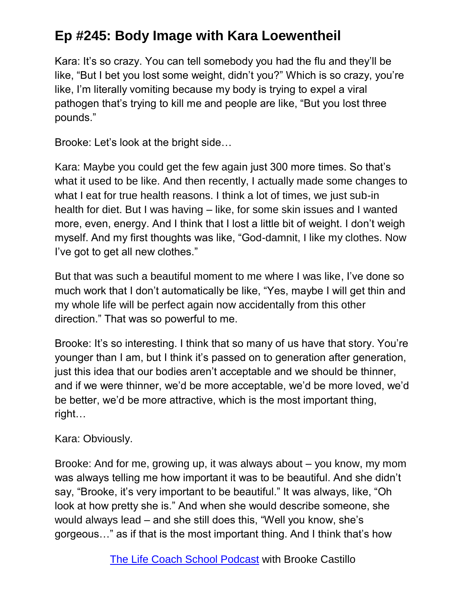Kara: It's so crazy. You can tell somebody you had the flu and they'll be like, "But I bet you lost some weight, didn't you?" Which is so crazy, you're like, I'm literally vomiting because my body is trying to expel a viral pathogen that's trying to kill me and people are like, "But you lost three pounds."

Brooke: Let's look at the bright side…

Kara: Maybe you could get the few again just 300 more times. So that's what it used to be like. And then recently, I actually made some changes to what I eat for true health reasons. I think a lot of times, we just sub-in health for diet. But I was having – like, for some skin issues and I wanted more, even, energy. And I think that I lost a little bit of weight. I don't weigh myself. And my first thoughts was like, "God-damnit, I like my clothes. Now I've got to get all new clothes."

But that was such a beautiful moment to me where I was like, I've done so much work that I don't automatically be like, "Yes, maybe I will get thin and my whole life will be perfect again now accidentally from this other direction." That was so powerful to me.

Brooke: It's so interesting. I think that so many of us have that story. You're younger than I am, but I think it's passed on to generation after generation, just this idea that our bodies aren't acceptable and we should be thinner, and if we were thinner, we'd be more acceptable, we'd be more loved, we'd be better, we'd be more attractive, which is the most important thing, right…

Kara: Obviously.

Brooke: And for me, growing up, it was always about – you know, my mom was always telling me how important it was to be beautiful. And she didn't say, "Brooke, it's very important to be beautiful." It was always, like, "Oh look at how pretty she is." And when she would describe someone, she would always lead – and she still does this, "Well you know, she's gorgeous…" as if that is the most important thing. And I think that's how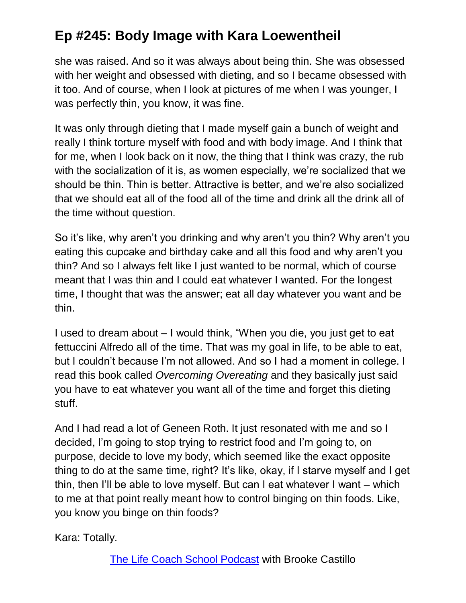she was raised. And so it was always about being thin. She was obsessed with her weight and obsessed with dieting, and so I became obsessed with it too. And of course, when I look at pictures of me when I was younger, I was perfectly thin, you know, it was fine.

It was only through dieting that I made myself gain a bunch of weight and really I think torture myself with food and with body image. And I think that for me, when I look back on it now, the thing that I think was crazy, the rub with the socialization of it is, as women especially, we're socialized that we should be thin. Thin is better. Attractive is better, and we're also socialized that we should eat all of the food all of the time and drink all the drink all of the time without question.

So it's like, why aren't you drinking and why aren't you thin? Why aren't you eating this cupcake and birthday cake and all this food and why aren't you thin? And so I always felt like I just wanted to be normal, which of course meant that I was thin and I could eat whatever I wanted. For the longest time, I thought that was the answer; eat all day whatever you want and be thin.

I used to dream about – I would think, "When you die, you just get to eat fettuccini Alfredo all of the time. That was my goal in life, to be able to eat, but I couldn't because I'm not allowed. And so I had a moment in college. I read this book called *Overcoming Overeating* and they basically just said you have to eat whatever you want all of the time and forget this dieting stuff.

And I had read a lot of Geneen Roth. It just resonated with me and so I decided, I'm going to stop trying to restrict food and I'm going to, on purpose, decide to love my body, which seemed like the exact opposite thing to do at the same time, right? It's like, okay, if I starve myself and I get thin, then I'll be able to love myself. But can I eat whatever I want – which to me at that point really meant how to control binging on thin foods. Like, you know you binge on thin foods?

Kara: Totally.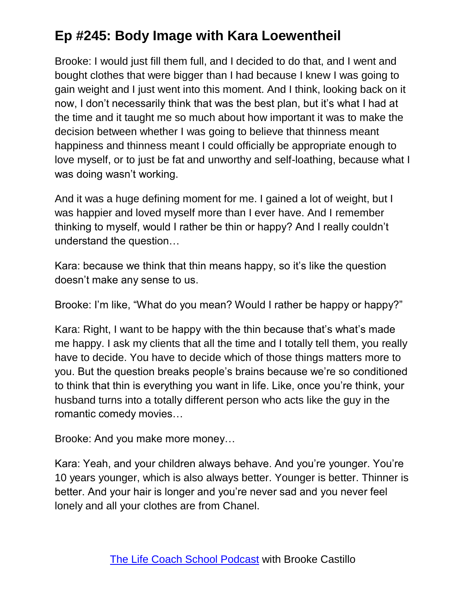Brooke: I would just fill them full, and I decided to do that, and I went and bought clothes that were bigger than I had because I knew I was going to gain weight and I just went into this moment. And I think, looking back on it now, I don't necessarily think that was the best plan, but it's what I had at the time and it taught me so much about how important it was to make the decision between whether I was going to believe that thinness meant happiness and thinness meant I could officially be appropriate enough to love myself, or to just be fat and unworthy and self-loathing, because what I was doing wasn't working.

And it was a huge defining moment for me. I gained a lot of weight, but I was happier and loved myself more than I ever have. And I remember thinking to myself, would I rather be thin or happy? And I really couldn't understand the question…

Kara: because we think that thin means happy, so it's like the question doesn't make any sense to us.

Brooke: I'm like, "What do you mean? Would I rather be happy or happy?"

Kara: Right, I want to be happy with the thin because that's what's made me happy. I ask my clients that all the time and I totally tell them, you really have to decide. You have to decide which of those things matters more to you. But the question breaks people's brains because we're so conditioned to think that thin is everything you want in life. Like, once you're think, your husband turns into a totally different person who acts like the guy in the romantic comedy movies…

Brooke: And you make more money…

Kara: Yeah, and your children always behave. And you're younger. You're 10 years younger, which is also always better. Younger is better. Thinner is better. And your hair is longer and you're never sad and you never feel lonely and all your clothes are from Chanel.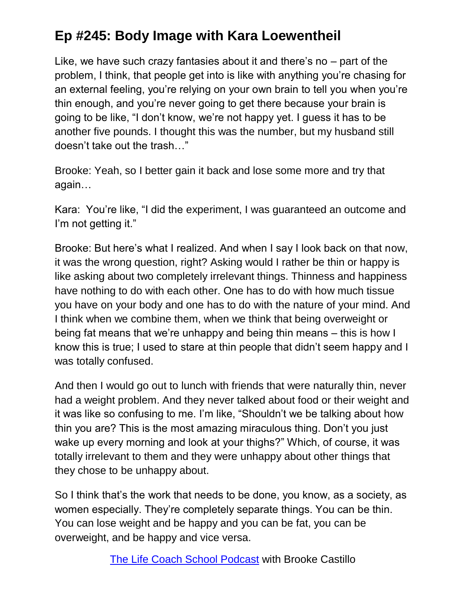Like, we have such crazy fantasies about it and there's no – part of the problem, I think, that people get into is like with anything you're chasing for an external feeling, you're relying on your own brain to tell you when you're thin enough, and you're never going to get there because your brain is going to be like, "I don't know, we're not happy yet. I guess it has to be another five pounds. I thought this was the number, but my husband still doesn't take out the trash…"

Brooke: Yeah, so I better gain it back and lose some more and try that again…

Kara: You're like, "I did the experiment, I was guaranteed an outcome and I'm not getting it."

Brooke: But here's what I realized. And when I say I look back on that now, it was the wrong question, right? Asking would I rather be thin or happy is like asking about two completely irrelevant things. Thinness and happiness have nothing to do with each other. One has to do with how much tissue you have on your body and one has to do with the nature of your mind. And I think when we combine them, when we think that being overweight or being fat means that we're unhappy and being thin means – this is how I know this is true; I used to stare at thin people that didn't seem happy and I was totally confused.

And then I would go out to lunch with friends that were naturally thin, never had a weight problem. And they never talked about food or their weight and it was like so confusing to me. I'm like, "Shouldn't we be talking about how thin you are? This is the most amazing miraculous thing. Don't you just wake up every morning and look at your thighs?" Which, of course, it was totally irrelevant to them and they were unhappy about other things that they chose to be unhappy about.

So I think that's the work that needs to be done, you know, as a society, as women especially. They're completely separate things. You can be thin. You can lose weight and be happy and you can be fat, you can be overweight, and be happy and vice versa.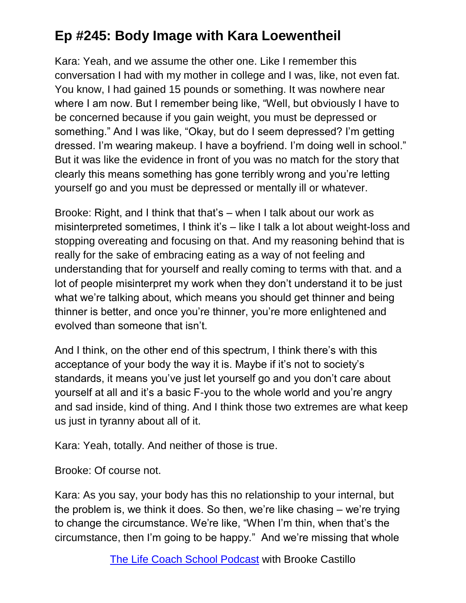Kara: Yeah, and we assume the other one. Like I remember this conversation I had with my mother in college and I was, like, not even fat. You know, I had gained 15 pounds or something. It was nowhere near where I am now. But I remember being like, "Well, but obviously I have to be concerned because if you gain weight, you must be depressed or something." And I was like, "Okay, but do I seem depressed? I'm getting dressed. I'm wearing makeup. I have a boyfriend. I'm doing well in school." But it was like the evidence in front of you was no match for the story that clearly this means something has gone terribly wrong and you're letting yourself go and you must be depressed or mentally ill or whatever.

Brooke: Right, and I think that that's – when I talk about our work as misinterpreted sometimes, I think it's – like I talk a lot about weight-loss and stopping overeating and focusing on that. And my reasoning behind that is really for the sake of embracing eating as a way of not feeling and understanding that for yourself and really coming to terms with that. and a lot of people misinterpret my work when they don't understand it to be just what we're talking about, which means you should get thinner and being thinner is better, and once you're thinner, you're more enlightened and evolved than someone that isn't.

And I think, on the other end of this spectrum, I think there's with this acceptance of your body the way it is. Maybe if it's not to society's standards, it means you've just let yourself go and you don't care about yourself at all and it's a basic F-you to the whole world and you're angry and sad inside, kind of thing. And I think those two extremes are what keep us just in tyranny about all of it.

Kara: Yeah, totally. And neither of those is true.

Brooke: Of course not.

Kara: As you say, your body has this no relationship to your internal, but the problem is, we think it does. So then, we're like chasing – we're trying to change the circumstance. We're like, "When I'm thin, when that's the circumstance, then I'm going to be happy." And we're missing that whole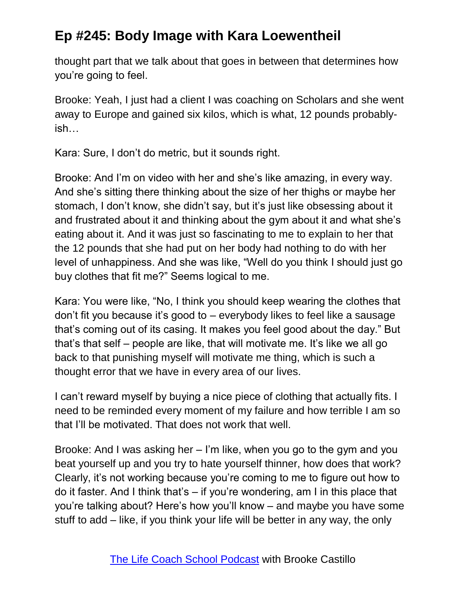thought part that we talk about that goes in between that determines how you're going to feel.

Brooke: Yeah, I just had a client I was coaching on Scholars and she went away to Europe and gained six kilos, which is what, 12 pounds probablyish…

Kara: Sure, I don't do metric, but it sounds right.

Brooke: And I'm on video with her and she's like amazing, in every way. And she's sitting there thinking about the size of her thighs or maybe her stomach, I don't know, she didn't say, but it's just like obsessing about it and frustrated about it and thinking about the gym about it and what she's eating about it. And it was just so fascinating to me to explain to her that the 12 pounds that she had put on her body had nothing to do with her level of unhappiness. And she was like, "Well do you think I should just go buy clothes that fit me?" Seems logical to me.

Kara: You were like, "No, I think you should keep wearing the clothes that don't fit you because it's good to – everybody likes to feel like a sausage that's coming out of its casing. It makes you feel good about the day." But that's that self – people are like, that will motivate me. It's like we all go back to that punishing myself will motivate me thing, which is such a thought error that we have in every area of our lives.

I can't reward myself by buying a nice piece of clothing that actually fits. I need to be reminded every moment of my failure and how terrible I am so that I'll be motivated. That does not work that well.

Brooke: And I was asking her – I'm like, when you go to the gym and you beat yourself up and you try to hate yourself thinner, how does that work? Clearly, it's not working because you're coming to me to figure out how to do it faster. And I think that's – if you're wondering, am I in this place that you're talking about? Here's how you'll know – and maybe you have some stuff to add – like, if you think your life will be better in any way, the only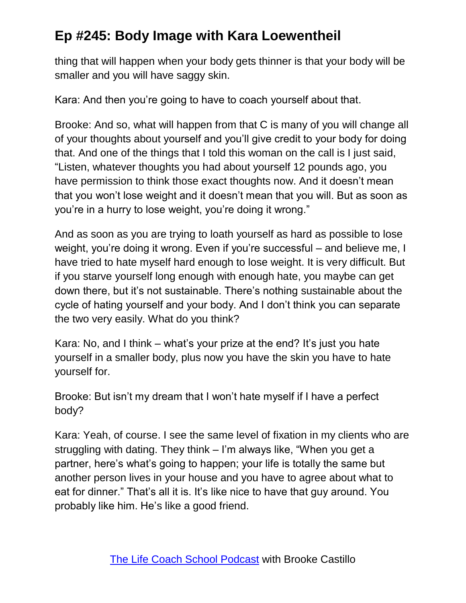thing that will happen when your body gets thinner is that your body will be smaller and you will have saggy skin.

Kara: And then you're going to have to coach yourself about that.

Brooke: And so, what will happen from that C is many of you will change all of your thoughts about yourself and you'll give credit to your body for doing that. And one of the things that I told this woman on the call is I just said, "Listen, whatever thoughts you had about yourself 12 pounds ago, you have permission to think those exact thoughts now. And it doesn't mean that you won't lose weight and it doesn't mean that you will. But as soon as you're in a hurry to lose weight, you're doing it wrong."

And as soon as you are trying to loath yourself as hard as possible to lose weight, you're doing it wrong. Even if you're successful – and believe me, I have tried to hate myself hard enough to lose weight. It is very difficult. But if you starve yourself long enough with enough hate, you maybe can get down there, but it's not sustainable. There's nothing sustainable about the cycle of hating yourself and your body. And I don't think you can separate the two very easily. What do you think?

Kara: No, and I think – what's your prize at the end? It's just you hate yourself in a smaller body, plus now you have the skin you have to hate yourself for.

Brooke: But isn't my dream that I won't hate myself if I have a perfect body?

Kara: Yeah, of course. I see the same level of fixation in my clients who are struggling with dating. They think – I'm always like, "When you get a partner, here's what's going to happen; your life is totally the same but another person lives in your house and you have to agree about what to eat for dinner." That's all it is. It's like nice to have that guy around. You probably like him. He's like a good friend.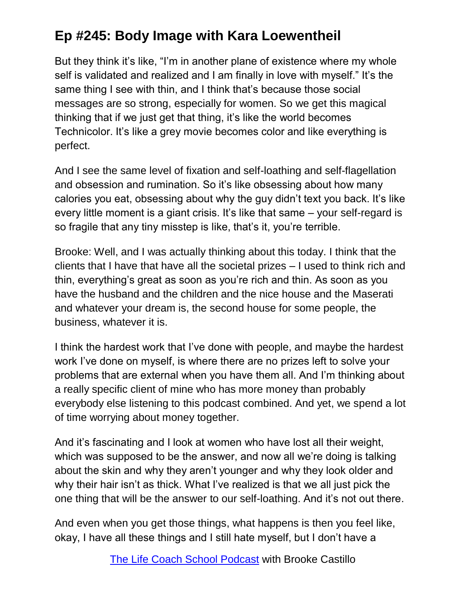But they think it's like, "I'm in another plane of existence where my whole self is validated and realized and I am finally in love with myself." It's the same thing I see with thin, and I think that's because those social messages are so strong, especially for women. So we get this magical thinking that if we just get that thing, it's like the world becomes Technicolor. It's like a grey movie becomes color and like everything is perfect.

And I see the same level of fixation and self-loathing and self-flagellation and obsession and rumination. So it's like obsessing about how many calories you eat, obsessing about why the guy didn't text you back. It's like every little moment is a giant crisis. It's like that same – your self-regard is so fragile that any tiny misstep is like, that's it, you're terrible.

Brooke: Well, and I was actually thinking about this today. I think that the clients that I have that have all the societal prizes – I used to think rich and thin, everything's great as soon as you're rich and thin. As soon as you have the husband and the children and the nice house and the Maserati and whatever your dream is, the second house for some people, the business, whatever it is.

I think the hardest work that I've done with people, and maybe the hardest work I've done on myself, is where there are no prizes left to solve your problems that are external when you have them all. And I'm thinking about a really specific client of mine who has more money than probably everybody else listening to this podcast combined. And yet, we spend a lot of time worrying about money together.

And it's fascinating and I look at women who have lost all their weight, which was supposed to be the answer, and now all we're doing is talking about the skin and why they aren't younger and why they look older and why their hair isn't as thick. What I've realized is that we all just pick the one thing that will be the answer to our self-loathing. And it's not out there.

And even when you get those things, what happens is then you feel like, okay, I have all these things and I still hate myself, but I don't have a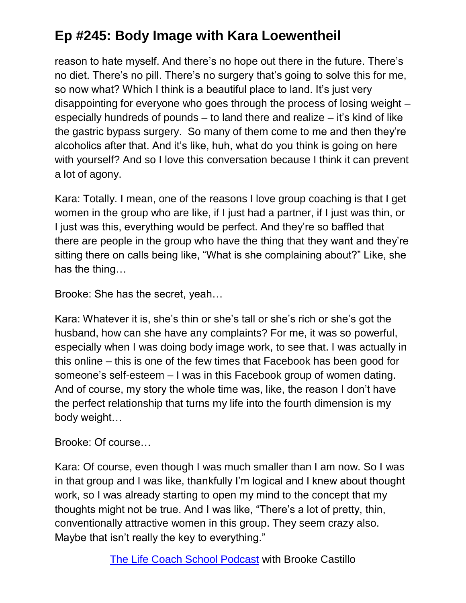reason to hate myself. And there's no hope out there in the future. There's no diet. There's no pill. There's no surgery that's going to solve this for me, so now what? Which I think is a beautiful place to land. It's just very disappointing for everyone who goes through the process of losing weight – especially hundreds of pounds – to land there and realize – it's kind of like the gastric bypass surgery. So many of them come to me and then they're alcoholics after that. And it's like, huh, what do you think is going on here with yourself? And so I love this conversation because I think it can prevent a lot of agony.

Kara: Totally. I mean, one of the reasons I love group coaching is that I get women in the group who are like, if I just had a partner, if I just was thin, or I just was this, everything would be perfect. And they're so baffled that there are people in the group who have the thing that they want and they're sitting there on calls being like, "What is she complaining about?" Like, she has the thing…

Brooke: She has the secret, yeah…

Kara: Whatever it is, she's thin or she's tall or she's rich or she's got the husband, how can she have any complaints? For me, it was so powerful, especially when I was doing body image work, to see that. I was actually in this online – this is one of the few times that Facebook has been good for someone's self-esteem – I was in this Facebook group of women dating. And of course, my story the whole time was, like, the reason I don't have the perfect relationship that turns my life into the fourth dimension is my body weight…

Brooke: Of course…

Kara: Of course, even though I was much smaller than I am now. So I was in that group and I was like, thankfully I'm logical and I knew about thought work, so I was already starting to open my mind to the concept that my thoughts might not be true. And I was like, "There's a lot of pretty, thin, conventionally attractive women in this group. They seem crazy also. Maybe that isn't really the key to everything."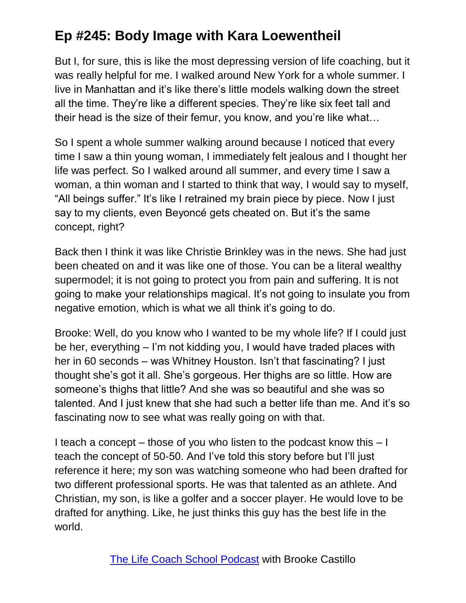But I, for sure, this is like the most depressing version of life coaching, but it was really helpful for me. I walked around New York for a whole summer. I live in Manhattan and it's like there's little models walking down the street all the time. They're like a different species. They're like six feet tall and their head is the size of their femur, you know, and you're like what…

So I spent a whole summer walking around because I noticed that every time I saw a thin young woman, I immediately felt jealous and I thought her life was perfect. So I walked around all summer, and every time I saw a woman, a thin woman and I started to think that way, I would say to myself, "All beings suffer." It's like I retrained my brain piece by piece. Now I just say to my clients, even Beyoncé gets cheated on. But it's the same concept, right?

Back then I think it was like Christie Brinkley was in the news. She had just been cheated on and it was like one of those. You can be a literal wealthy supermodel; it is not going to protect you from pain and suffering. It is not going to make your relationships magical. It's not going to insulate you from negative emotion, which is what we all think it's going to do.

Brooke: Well, do you know who I wanted to be my whole life? If I could just be her, everything – I'm not kidding you, I would have traded places with her in 60 seconds – was Whitney Houston. Isn't that fascinating? I just thought she's got it all. She's gorgeous. Her thighs are so little. How are someone's thighs that little? And she was so beautiful and she was so talented. And I just knew that she had such a better life than me. And it's so fascinating now to see what was really going on with that.

I teach a concept – those of you who listen to the podcast know this – I teach the concept of 50-50. And I've told this story before but I'll just reference it here; my son was watching someone who had been drafted for two different professional sports. He was that talented as an athlete. And Christian, my son, is like a golfer and a soccer player. He would love to be drafted for anything. Like, he just thinks this guy has the best life in the world.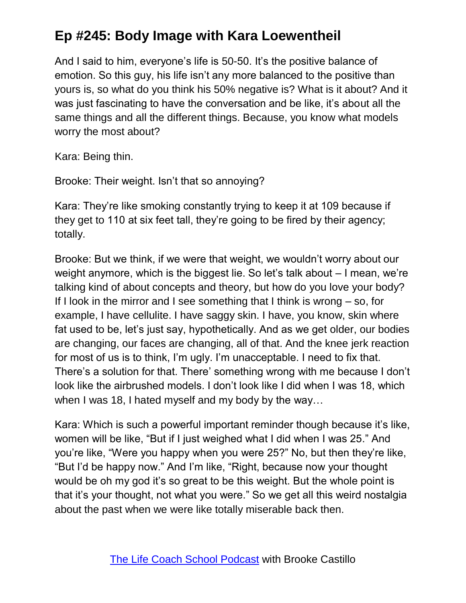And I said to him, everyone's life is 50-50. It's the positive balance of emotion. So this guy, his life isn't any more balanced to the positive than yours is, so what do you think his 50% negative is? What is it about? And it was just fascinating to have the conversation and be like, it's about all the same things and all the different things. Because, you know what models worry the most about?

Kara: Being thin.

Brooke: Their weight. Isn't that so annoying?

Kara: They're like smoking constantly trying to keep it at 109 because if they get to 110 at six feet tall, they're going to be fired by their agency; totally.

Brooke: But we think, if we were that weight, we wouldn't worry about our weight anymore, which is the biggest lie. So let's talk about – I mean, we're talking kind of about concepts and theory, but how do you love your body? If I look in the mirror and I see something that I think is wrong – so, for example, I have cellulite. I have saggy skin. I have, you know, skin where fat used to be, let's just say, hypothetically. And as we get older, our bodies are changing, our faces are changing, all of that. And the knee jerk reaction for most of us is to think, I'm ugly. I'm unacceptable. I need to fix that. There's a solution for that. There' something wrong with me because I don't look like the airbrushed models. I don't look like I did when I was 18, which when I was 18, I hated myself and my body by the way…

Kara: Which is such a powerful important reminder though because it's like, women will be like, "But if I just weighed what I did when I was 25." And you're like, "Were you happy when you were 25?" No, but then they're like, "But I'd be happy now." And I'm like, "Right, because now your thought would be oh my god it's so great to be this weight. But the whole point is that it's your thought, not what you were." So we get all this weird nostalgia about the past when we were like totally miserable back then.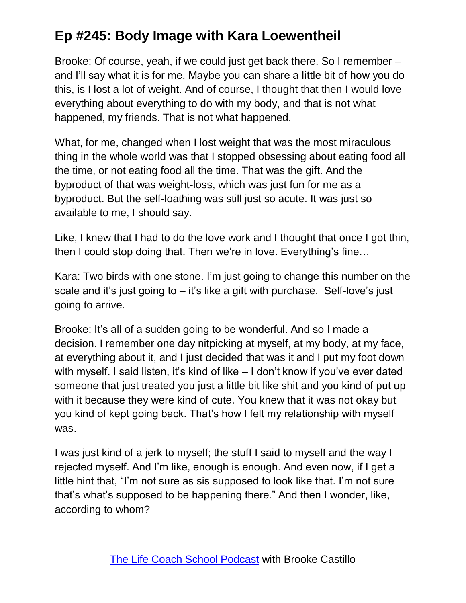Brooke: Of course, yeah, if we could just get back there. So I remember – and I'll say what it is for me. Maybe you can share a little bit of how you do this, is I lost a lot of weight. And of course, I thought that then I would love everything about everything to do with my body, and that is not what happened, my friends. That is not what happened.

What, for me, changed when I lost weight that was the most miraculous thing in the whole world was that I stopped obsessing about eating food all the time, or not eating food all the time. That was the gift. And the byproduct of that was weight-loss, which was just fun for me as a byproduct. But the self-loathing was still just so acute. It was just so available to me, I should say.

Like, I knew that I had to do the love work and I thought that once I got thin, then I could stop doing that. Then we're in love. Everything's fine…

Kara: Two birds with one stone. I'm just going to change this number on the scale and it's just going to  $-$  it's like a gift with purchase. Self-love's just going to arrive.

Brooke: It's all of a sudden going to be wonderful. And so I made a decision. I remember one day nitpicking at myself, at my body, at my face, at everything about it, and I just decided that was it and I put my foot down with myself. I said listen, it's kind of like – I don't know if you've ever dated someone that just treated you just a little bit like shit and you kind of put up with it because they were kind of cute. You knew that it was not okay but you kind of kept going back. That's how I felt my relationship with myself was.

I was just kind of a jerk to myself; the stuff I said to myself and the way I rejected myself. And I'm like, enough is enough. And even now, if I get a little hint that, "I'm not sure as sis supposed to look like that. I'm not sure that's what's supposed to be happening there." And then I wonder, like, according to whom?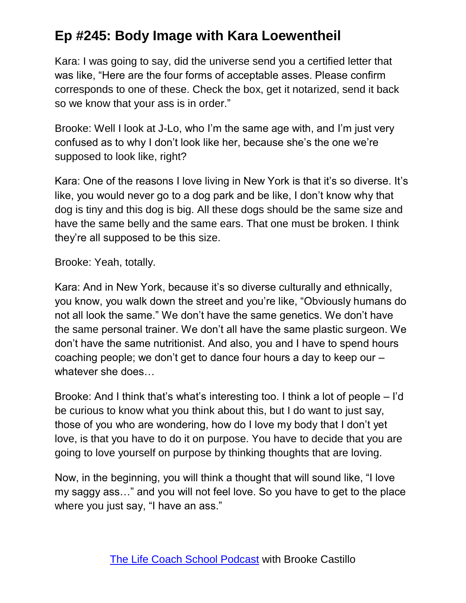Kara: I was going to say, did the universe send you a certified letter that was like, "Here are the four forms of acceptable asses. Please confirm corresponds to one of these. Check the box, get it notarized, send it back so we know that your ass is in order."

Brooke: Well I look at J-Lo, who I'm the same age with, and I'm just very confused as to why I don't look like her, because she's the one we're supposed to look like, right?

Kara: One of the reasons I love living in New York is that it's so diverse. It's like, you would never go to a dog park and be like, I don't know why that dog is tiny and this dog is big. All these dogs should be the same size and have the same belly and the same ears. That one must be broken. I think they're all supposed to be this size.

Brooke: Yeah, totally.

Kara: And in New York, because it's so diverse culturally and ethnically, you know, you walk down the street and you're like, "Obviously humans do not all look the same." We don't have the same genetics. We don't have the same personal trainer. We don't all have the same plastic surgeon. We don't have the same nutritionist. And also, you and I have to spend hours coaching people; we don't get to dance four hours a day to keep our – whatever she does…

Brooke: And I think that's what's interesting too. I think a lot of people – I'd be curious to know what you think about this, but I do want to just say, those of you who are wondering, how do I love my body that I don't yet love, is that you have to do it on purpose. You have to decide that you are going to love yourself on purpose by thinking thoughts that are loving.

Now, in the beginning, you will think a thought that will sound like, "I love my saggy ass…" and you will not feel love. So you have to get to the place where you just say, "I have an ass."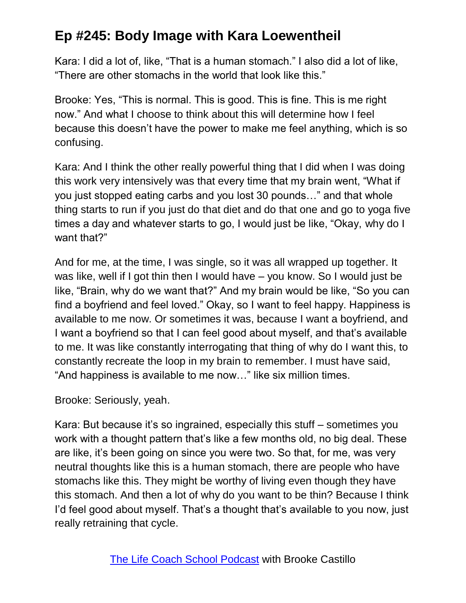Kara: I did a lot of, like, "That is a human stomach." I also did a lot of like, "There are other stomachs in the world that look like this."

Brooke: Yes, "This is normal. This is good. This is fine. This is me right now." And what I choose to think about this will determine how I feel because this doesn't have the power to make me feel anything, which is so confusing.

Kara: And I think the other really powerful thing that I did when I was doing this work very intensively was that every time that my brain went, "What if you just stopped eating carbs and you lost 30 pounds…" and that whole thing starts to run if you just do that diet and do that one and go to yoga five times a day and whatever starts to go, I would just be like, "Okay, why do I want that?"

And for me, at the time, I was single, so it was all wrapped up together. It was like, well if I got thin then I would have – you know. So I would just be like, "Brain, why do we want that?" And my brain would be like, "So you can find a boyfriend and feel loved." Okay, so I want to feel happy. Happiness is available to me now. Or sometimes it was, because I want a boyfriend, and I want a boyfriend so that I can feel good about myself, and that's available to me. It was like constantly interrogating that thing of why do I want this, to constantly recreate the loop in my brain to remember. I must have said, "And happiness is available to me now…" like six million times.

Brooke: Seriously, yeah.

Kara: But because it's so ingrained, especially this stuff – sometimes you work with a thought pattern that's like a few months old, no big deal. These are like, it's been going on since you were two. So that, for me, was very neutral thoughts like this is a human stomach, there are people who have stomachs like this. They might be worthy of living even though they have this stomach. And then a lot of why do you want to be thin? Because I think I'd feel good about myself. That's a thought that's available to you now, just really retraining that cycle.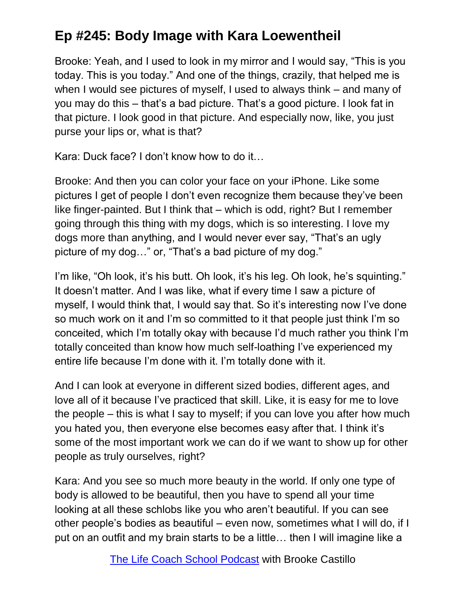Brooke: Yeah, and I used to look in my mirror and I would say, "This is you today. This is you today." And one of the things, crazily, that helped me is when I would see pictures of myself, I used to always think – and many of you may do this – that's a bad picture. That's a good picture. I look fat in that picture. I look good in that picture. And especially now, like, you just purse your lips or, what is that?

Kara: Duck face? I don't know how to do it…

Brooke: And then you can color your face on your iPhone. Like some pictures I get of people I don't even recognize them because they've been like finger-painted. But I think that – which is odd, right? But I remember going through this thing with my dogs, which is so interesting. I love my dogs more than anything, and I would never ever say, "That's an ugly picture of my dog…" or, "That's a bad picture of my dog."

I'm like, "Oh look, it's his butt. Oh look, it's his leg. Oh look, he's squinting." It doesn't matter. And I was like, what if every time I saw a picture of myself, I would think that, I would say that. So it's interesting now I've done so much work on it and I'm so committed to it that people just think I'm so conceited, which I'm totally okay with because I'd much rather you think I'm totally conceited than know how much self-loathing I've experienced my entire life because I'm done with it. I'm totally done with it.

And I can look at everyone in different sized bodies, different ages, and love all of it because I've practiced that skill. Like, it is easy for me to love the people – this is what I say to myself; if you can love you after how much you hated you, then everyone else becomes easy after that. I think it's some of the most important work we can do if we want to show up for other people as truly ourselves, right?

Kara: And you see so much more beauty in the world. If only one type of body is allowed to be beautiful, then you have to spend all your time looking at all these schlobs like you who aren't beautiful. If you can see other people's bodies as beautiful – even now, sometimes what I will do, if I put on an outfit and my brain starts to be a little… then I will imagine like a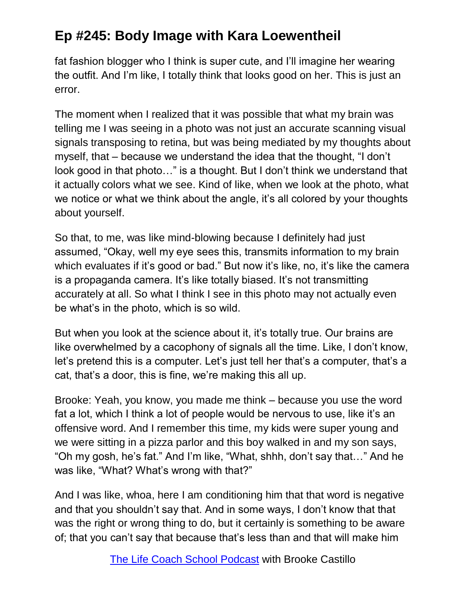fat fashion blogger who I think is super cute, and I'll imagine her wearing the outfit. And I'm like, I totally think that looks good on her. This is just an error.

The moment when I realized that it was possible that what my brain was telling me I was seeing in a photo was not just an accurate scanning visual signals transposing to retina, but was being mediated by my thoughts about myself, that – because we understand the idea that the thought, "I don't look good in that photo…" is a thought. But I don't think we understand that it actually colors what we see. Kind of like, when we look at the photo, what we notice or what we think about the angle, it's all colored by your thoughts about yourself.

So that, to me, was like mind-blowing because I definitely had just assumed, "Okay, well my eye sees this, transmits information to my brain which evaluates if it's good or bad." But now it's like, no, it's like the camera is a propaganda camera. It's like totally biased. It's not transmitting accurately at all. So what I think I see in this photo may not actually even be what's in the photo, which is so wild.

But when you look at the science about it, it's totally true. Our brains are like overwhelmed by a cacophony of signals all the time. Like, I don't know, let's pretend this is a computer. Let's just tell her that's a computer, that's a cat, that's a door, this is fine, we're making this all up.

Brooke: Yeah, you know, you made me think – because you use the word fat a lot, which I think a lot of people would be nervous to use, like it's an offensive word. And I remember this time, my kids were super young and we were sitting in a pizza parlor and this boy walked in and my son says, "Oh my gosh, he's fat." And I'm like, "What, shhh, don't say that…" And he was like, "What? What's wrong with that?"

And I was like, whoa, here I am conditioning him that that word is negative and that you shouldn't say that. And in some ways, I don't know that that was the right or wrong thing to do, but it certainly is something to be aware of; that you can't say that because that's less than and that will make him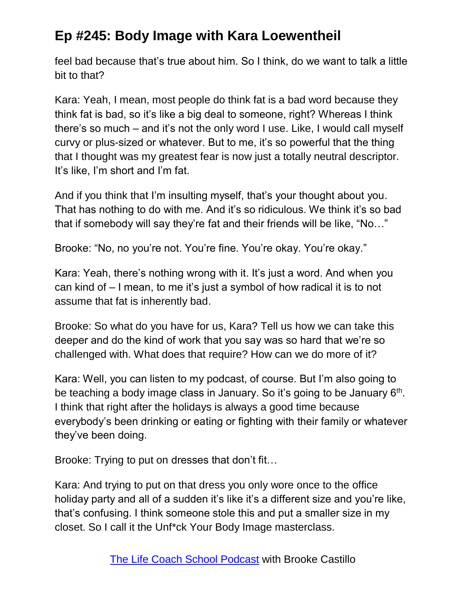feel bad because that's true about him. So I think, do we want to talk a little bit to that?

Kara: Yeah, I mean, most people do think fat is a bad word because they think fat is bad, so it's like a big deal to someone, right? Whereas I think there's so much – and it's not the only word I use. Like, I would call myself curvy or plus-sized or whatever. But to me, it's so powerful that the thing that I thought was my greatest fear is now just a totally neutral descriptor. It's like, I'm short and I'm fat.

And if you think that I'm insulting myself, that's your thought about you. That has nothing to do with me. And it's so ridiculous. We think it's so bad that if somebody will say they're fat and their friends will be like, "No…"

Brooke: "No, no you're not. You're fine. You're okay. You're okay."

Kara: Yeah, there's nothing wrong with it. It's just a word. And when you can kind of – I mean, to me it's just a symbol of how radical it is to not assume that fat is inherently bad.

Brooke: So what do you have for us, Kara? Tell us how we can take this deeper and do the kind of work that you say was so hard that we're so challenged with. What does that require? How can we do more of it?

Kara: Well, you can listen to my podcast, of course. But I'm also going to be teaching a body image class in January. So it's going to be January  $6<sup>th</sup>$ . I think that right after the holidays is always a good time because everybody's been drinking or eating or fighting with their family or whatever they've been doing.

Brooke: Trying to put on dresses that don't fit…

Kara: And trying to put on that dress you only wore once to the office holiday party and all of a sudden it's like it's a different size and you're like, that's confusing. I think someone stole this and put a smaller size in my closet. So I call it the Unf\*ck Your Body Image masterclass.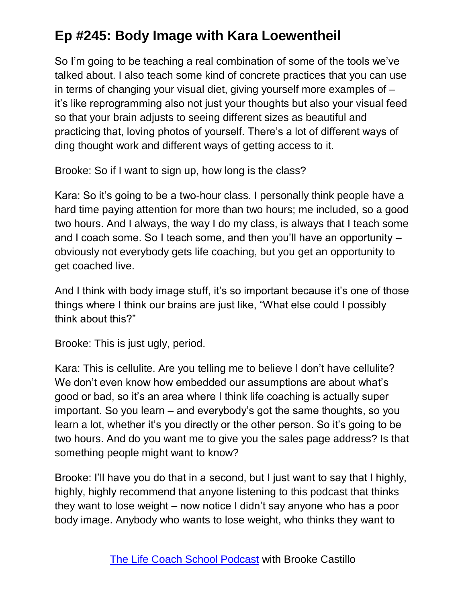So I'm going to be teaching a real combination of some of the tools we've talked about. I also teach some kind of concrete practices that you can use in terms of changing your visual diet, giving yourself more examples of – it's like reprogramming also not just your thoughts but also your visual feed so that your brain adjusts to seeing different sizes as beautiful and practicing that, loving photos of yourself. There's a lot of different ways of ding thought work and different ways of getting access to it.

Brooke: So if I want to sign up, how long is the class?

Kara: So it's going to be a two-hour class. I personally think people have a hard time paying attention for more than two hours; me included, so a good two hours. And I always, the way I do my class, is always that I teach some and I coach some. So I teach some, and then you'll have an opportunity – obviously not everybody gets life coaching, but you get an opportunity to get coached live.

And I think with body image stuff, it's so important because it's one of those things where I think our brains are just like, "What else could I possibly think about this?"

Brooke: This is just ugly, period.

Kara: This is cellulite. Are you telling me to believe I don't have cellulite? We don't even know how embedded our assumptions are about what's good or bad, so it's an area where I think life coaching is actually super important. So you learn – and everybody's got the same thoughts, so you learn a lot, whether it's you directly or the other person. So it's going to be two hours. And do you want me to give you the sales page address? Is that something people might want to know?

Brooke: I'll have you do that in a second, but I just want to say that I highly, highly, highly recommend that anyone listening to this podcast that thinks they want to lose weight – now notice I didn't say anyone who has a poor body image. Anybody who wants to lose weight, who thinks they want to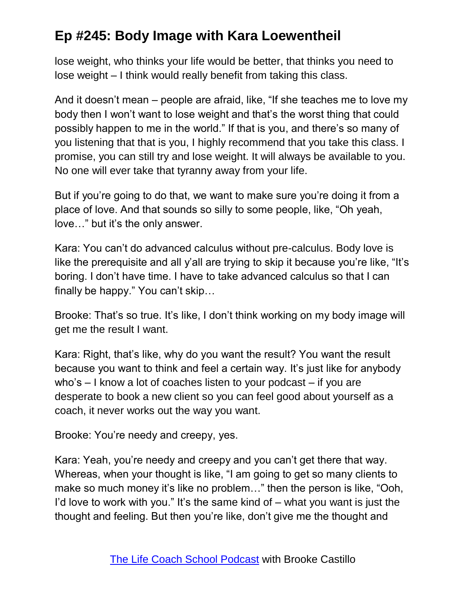lose weight, who thinks your life would be better, that thinks you need to lose weight – I think would really benefit from taking this class.

And it doesn't mean – people are afraid, like, "If she teaches me to love my body then I won't want to lose weight and that's the worst thing that could possibly happen to me in the world." If that is you, and there's so many of you listening that that is you, I highly recommend that you take this class. I promise, you can still try and lose weight. It will always be available to you. No one will ever take that tyranny away from your life.

But if you're going to do that, we want to make sure you're doing it from a place of love. And that sounds so silly to some people, like, "Oh yeah, love…" but it's the only answer.

Kara: You can't do advanced calculus without pre-calculus. Body love is like the prerequisite and all y'all are trying to skip it because you're like, "It's boring. I don't have time. I have to take advanced calculus so that I can finally be happy." You can't skip…

Brooke: That's so true. It's like, I don't think working on my body image will get me the result I want.

Kara: Right, that's like, why do you want the result? You want the result because you want to think and feel a certain way. It's just like for anybody who's – I know a lot of coaches listen to your podcast – if you are desperate to book a new client so you can feel good about yourself as a coach, it never works out the way you want.

Brooke: You're needy and creepy, yes.

Kara: Yeah, you're needy and creepy and you can't get there that way. Whereas, when your thought is like, "I am going to get so many clients to make so much money it's like no problem…" then the person is like, "Ooh, I'd love to work with you." It's the same kind of – what you want is just the thought and feeling. But then you're like, don't give me the thought and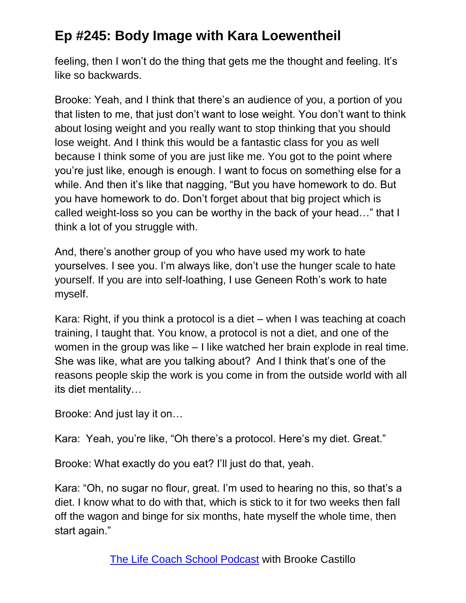feeling, then I won't do the thing that gets me the thought and feeling. It's like so backwards.

Brooke: Yeah, and I think that there's an audience of you, a portion of you that listen to me, that just don't want to lose weight. You don't want to think about losing weight and you really want to stop thinking that you should lose weight. And I think this would be a fantastic class for you as well because I think some of you are just like me. You got to the point where you're just like, enough is enough. I want to focus on something else for a while. And then it's like that nagging, "But you have homework to do. But you have homework to do. Don't forget about that big project which is called weight-loss so you can be worthy in the back of your head…" that I think a lot of you struggle with.

And, there's another group of you who have used my work to hate yourselves. I see you. I'm always like, don't use the hunger scale to hate yourself. If you are into self-loathing, I use Geneen Roth's work to hate myself.

Kara: Right, if you think a protocol is a diet – when I was teaching at coach training, I taught that. You know, a protocol is not a diet, and one of the women in the group was like – I like watched her brain explode in real time. She was like, what are you talking about? And I think that's one of the reasons people skip the work is you come in from the outside world with all its diet mentality…

Brooke: And just lay it on…

Kara: Yeah, you're like, "Oh there's a protocol. Here's my diet. Great."

Brooke: What exactly do you eat? I'll just do that, yeah.

Kara: "Oh, no sugar no flour, great. I'm used to hearing no this, so that's a diet. I know what to do with that, which is stick to it for two weeks then fall off the wagon and binge for six months, hate myself the whole time, then start again."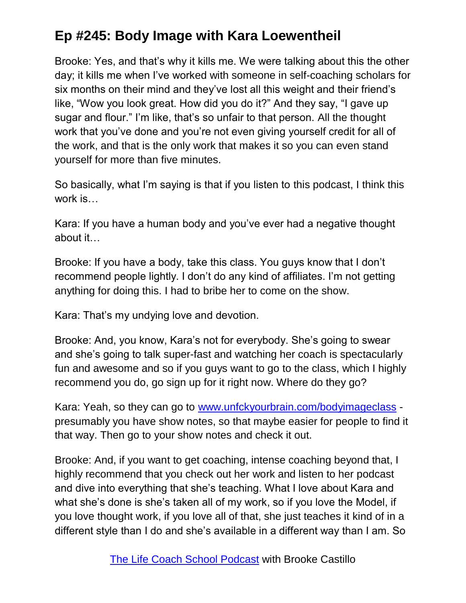Brooke: Yes, and that's why it kills me. We were talking about this the other day; it kills me when I've worked with someone in self-coaching scholars for six months on their mind and they've lost all this weight and their friend's like, "Wow you look great. How did you do it?" And they say, "I gave up sugar and flour." I'm like, that's so unfair to that person. All the thought work that you've done and you're not even giving yourself credit for all of the work, and that is the only work that makes it so you can even stand yourself for more than five minutes.

So basically, what I'm saying is that if you listen to this podcast, I think this work is…

Kara: If you have a human body and you've ever had a negative thought about it…

Brooke: If you have a body, take this class. You guys know that I don't recommend people lightly. I don't do any kind of affiliates. I'm not getting anything for doing this. I had to bribe her to come on the show.

Kara: That's my undying love and devotion.

Brooke: And, you know, Kara's not for everybody. She's going to swear and she's going to talk super-fast and watching her coach is spectacularly fun and awesome and so if you guys want to go to the class, which I highly recommend you do, go sign up for it right now. Where do they go?

Kara: Yeah, so they can go to [www.unfckyourbrain.com/bodyimageclass](http://www.unfckyourbrain.com/bodyimageclass) presumably you have show notes, so that maybe easier for people to find it that way. Then go to your show notes and check it out.

Brooke: And, if you want to get coaching, intense coaching beyond that, I highly recommend that you check out her work and listen to her podcast and dive into everything that she's teaching. What I love about Kara and what she's done is she's taken all of my work, so if you love the Model, if you love thought work, if you love all of that, she just teaches it kind of in a different style than I do and she's available in a different way than I am. So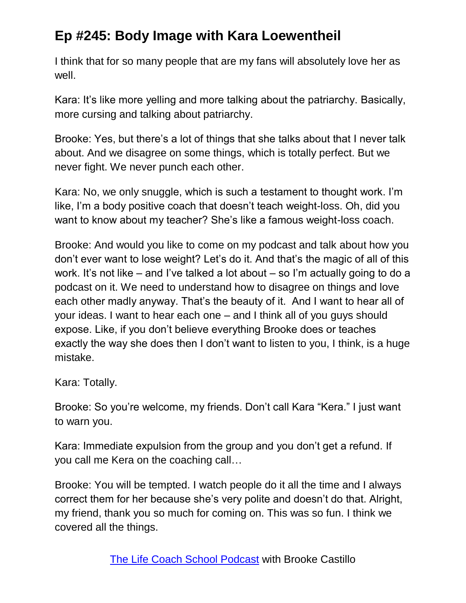I think that for so many people that are my fans will absolutely love her as well.

Kara: It's like more yelling and more talking about the patriarchy. Basically, more cursing and talking about patriarchy.

Brooke: Yes, but there's a lot of things that she talks about that I never talk about. And we disagree on some things, which is totally perfect. But we never fight. We never punch each other.

Kara: No, we only snuggle, which is such a testament to thought work. I'm like, I'm a body positive coach that doesn't teach weight-loss. Oh, did you want to know about my teacher? She's like a famous weight-loss coach.

Brooke: And would you like to come on my podcast and talk about how you don't ever want to lose weight? Let's do it. And that's the magic of all of this work. It's not like – and I've talked a lot about – so I'm actually going to do a podcast on it. We need to understand how to disagree on things and love each other madly anyway. That's the beauty of it. And I want to hear all of your ideas. I want to hear each one – and I think all of you guys should expose. Like, if you don't believe everything Brooke does or teaches exactly the way she does then I don't want to listen to you, I think, is a huge mistake.

Kara: Totally.

Brooke: So you're welcome, my friends. Don't call Kara "Kera." I just want to warn you.

Kara: Immediate expulsion from the group and you don't get a refund. If you call me Kera on the coaching call…

Brooke: You will be tempted. I watch people do it all the time and I always correct them for her because she's very polite and doesn't do that. Alright, my friend, thank you so much for coming on. This was so fun. I think we covered all the things.